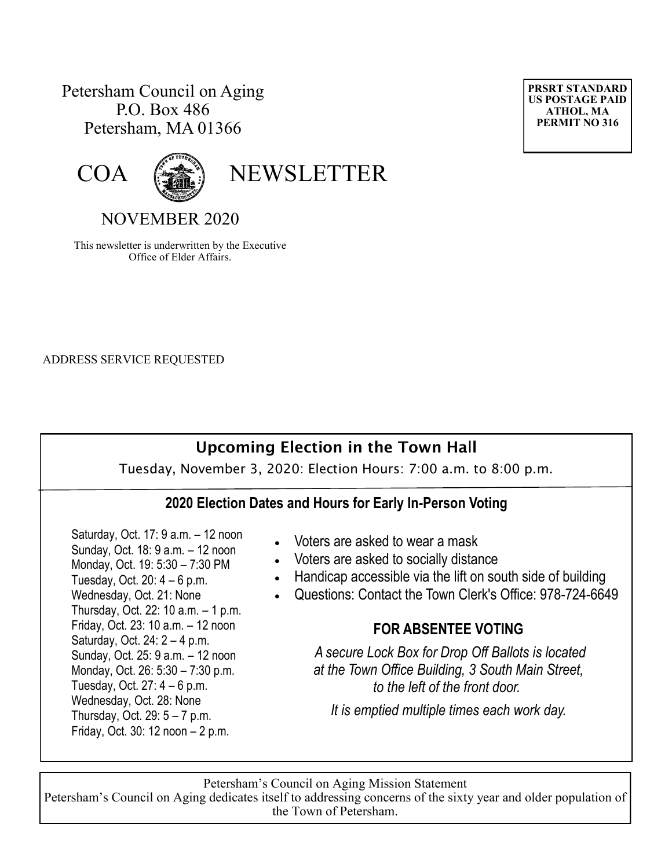## Petersham Council on Aging P.O. Box 486 Petersham, MA 01366





COA (

# NOVEMBER 2020

This newsletter is underwritten by the Executive Office of Elder Affairs.

ADDRESS SERVICE REQUESTED

# **Upcoming Election in the Town Ha**l**l**

Tuesday, November 3, 2020: Election Hours: 7:00 a.m. to 8:00 p.m.

#### **2020 Election Dates and Hours for Early In-Person Voting**

 Saturday, Oct. 17: 9 a.m. – 12 noon Sunday, Oct. 18: 9 a.m. – 12 noon Monday, Oct. 19: 5:30 – 7:30 PM Tuesday, Oct.  $20: 4-6$  p.m. Wednesday, Oct. 21: None Thursday, Oct. 22: 10 a.m. – 1 p.m. Friday, Oct. 23: 10 a.m. – 12 noon Saturday, Oct. 24: 2 – 4 p.m. Sunday, Oct. 25: 9 a.m. – 12 noon Monday, Oct. 26: 5:30 – 7:30 p.m. Tuesday, Oct.  $27:4-6$  p.m. Wednesday, Oct. 28: None Thursday, Oct. 29: 5 – 7 p.m. Friday, Oct. 30: 12 noon – 2 p.m.

- Voters are asked to wear a mask
- Voters are asked to socially distance
- Handicap accessible via the lift on south side of building
- Questions: Contact the Town Clerk's Office: 978-724-6649

#### **FOR ABSENTEE VOTING**

*A secure Lock Box for Drop Off Ballots is located at the Town Office Building, 3 South Main Street, to the left of the front door.*

*It is emptied multiple times each work day.*

Petersham's Council on Aging Mission Statement Petersham's Council on Aging dedicates itself to addressing concerns of the sixty year and older population of the Town of Petersham.

**PRSRT STANDARD US POSTAGE PAID ATHOL, MA PERMIT NO 316**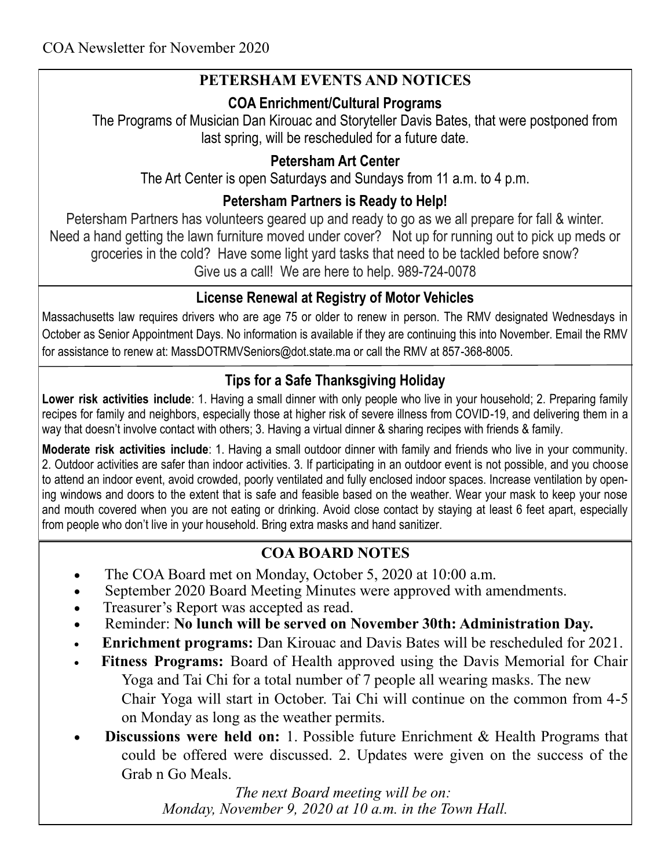# **PETERSHAM EVENTS AND NOTICES**

## **COA Enrichment/Cultural Programs**

The Programs of Musician Dan Kirouac and Storyteller Davis Bates, that were postponed from last spring, will be rescheduled for a future date.

## **Petersham Art Center**

The Art Center is open Saturdays and Sundays from 11 a.m. to 4 p.m.

## **Petersham Partners is Ready to Help!**

Petersham Partners has volunteers geared up and ready to go as we all prepare for fall & winter. Need a hand getting the lawn furniture moved under cover? Not up for running out to pick up meds or groceries in the cold? Have some light yard tasks that need to be tackled before snow? Give us a call! We are here to help. 989-724-0078

## **License Renewal at Registry of Motor Vehicles**

Massachusetts law requires drivers who are age 75 or older to renew in person. The RMV designated Wednesdays in October as Senior Appointment Days. No information is available if they are continuing this into November. Email the RMV for assistance to renew at: MassDOTRMVSeniors@dot.state.ma or call the RMV at 857-368-8005.

# **Tips for a Safe Thanksgiving Holiday**

**Lower risk activities include**: 1. Having a small dinner with only people who live in your household; 2. Preparing family recipes for family and neighbors, especially those at higher risk of severe illness from COVID-19, and delivering them in a way that doesn't involve contact with others; 3. Having a virtual dinner & sharing recipes with friends & family.

**Moderate risk activities include**: 1. Having a small outdoor dinner with family and friends who live in your community. 2. Outdoor activities are safer than indoor activities. 3. If participating in an outdoor event is not possible, and you choose to attend an indoor event, avoid crowded, poorly ventilated and fully enclosed indoor spaces. Increase ventilation by opening windows and doors to the extent that is safe and feasible based on the weather. Wear your mask to keep your nose and mouth covered when you are not eating or drinking. Avoid close contact by staying at least 6 feet apart, especially from people who don't live in your household. Bring extra masks and hand sanitizer.

# **COA BOARD NOTES**

- The COA Board met on Monday, October 5, 2020 at 10:00 a.m.
- September 2020 Board Meeting Minutes were approved with amendments.
- Treasurer's Report was accepted as read.
- Reminder: **No lunch will be served on November 30th: Administration Day.**
- **Enrichment programs:** Dan Kirouac and Davis Bates will be rescheduled for 2021.
- **Fitness Programs:** Board of Health approved using the Davis Memorial for Chair Yoga and Tai Chi for a total number of 7 people all wearing masks. The new Chair Yoga will start in October. Tai Chi will continue on the common from 4-5 on Monday as long as the weather permits.
- **Discussions were held on:** 1. Possible future Enrichment & Health Programs that could be offered were discussed. 2. Updates were given on the success of the Grab n Go Meals.

 *The next Board meeting will be on: Monday, November 9, 2020 at 10 a.m. in the Town Hall.*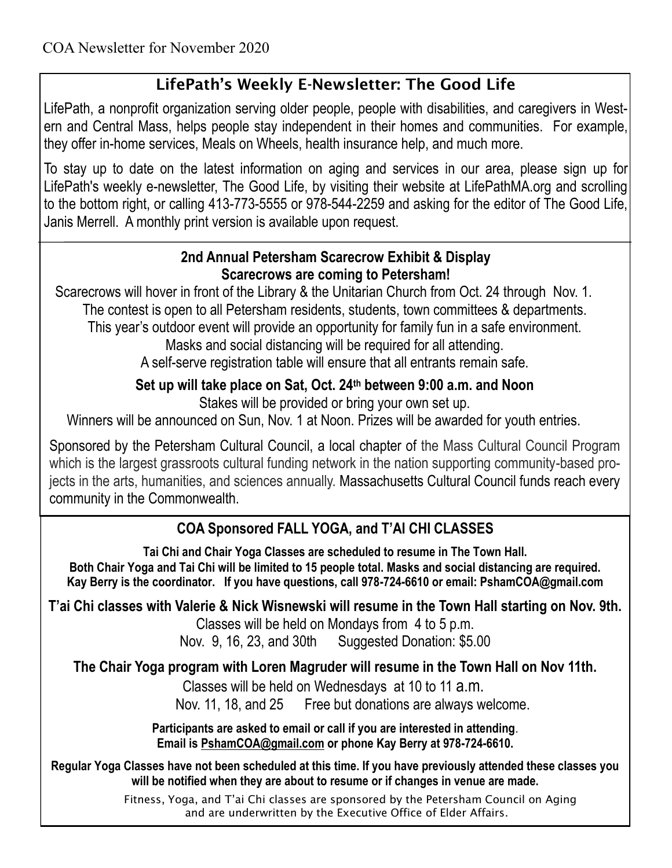# **LifePath's Weekly E-Newsletter: The Good Life**

LifePath, a nonprofit organization serving older people, people with disabilities, and caregivers in Western and Central Mass, helps people stay independent in their homes and communities. For example, they offer in-home services, Meals on Wheels, health insurance help, and much more.

To stay up to date on the latest information on aging and services in our area, please sign up for LifePath's weekly e-newsletter, The Good Life, by visiting their website at LifePathMA.org and scrolling to the bottom right, or calling 413-773-5555 or 978-544-2259 and asking for the editor of The Good Life, Janis Merrell. A monthly print version is available upon request.

#### **2nd Annual Petersham Scarecrow Exhibit & Display Scarecrows are coming to Petersham!**

Scarecrows will hover in front of the Library & the Unitarian Church from Oct. 24 through Nov. 1. The contest is open to all Petersham residents, students, town committees & departments.

This year's outdoor event will provide an opportunity for family fun in a safe environment.

Masks and social distancing will be required for all attending.

A self-serve registration table will ensure that all entrants remain safe.

# **Set up will take place on Sat, Oct. 24th between 9:00 a.m. and Noon**

Stakes will be provided or bring your own set up.

Winners will be announced on Sun, Nov. 1 at Noon. Prizes will be awarded for youth entries.

Sponsored by the Petersham Cultural Council, a local chapter of the Mass Cultural Council Program which is the largest grassroots cultural funding network in the nation supporting community-based projects in the arts, humanities, and sciences annually. Massachusetts Cultural Council funds reach every community in the Commonwealth.

# **COA Sponsored FALL YOGA, and T'AI CHI CLASSES**

**Tai Chi and Chair Yoga Classes are scheduled to resume in The Town Hall. Both Chair Yoga and Tai Chi will be limited to 15 people total. Masks and social distancing are required. Kay Berry is the coordinator. If you have questions, call 978-724-6610 or email: PshamCOA@gmail.com**

# **T'ai Chi classes with Valerie & Nick Wisnewski will resume in the Town Hall starting on Nov. 9th.**

Classes will be held on Mondays from 4 to 5 p.m.

Nov. 9, 16, 23, and 30th Suggested Donation: \$5.00

# **The Chair Yoga program with Loren Magruder will resume in the Town Hall on Nov 11th.**

Classes will be held on Wednesdays at 10 to 11 a.m.

Nov. 11, 18, and 25 Free but donations are always welcome.

**Participants are asked to email or call if you are interested in attending**. **Email is [PshamCOA@gmail.com](mailto:PshamCOA@gmail.com) or phone Kay Berry at 978-724-6610.** 

**Regular Yoga Classes have not been scheduled at this time. If you have previously attended these classes you will be notified when they are about to resume or if changes in venue are made.**

> Fitness, Yoga, and T'ai Chi classes are sponsored by the Petersham Council on Aging and are underwritten by the Executive Office of Elder Affairs.